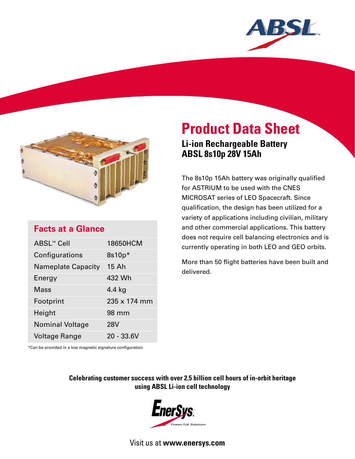



# **Facts at a Glance**

| ABSL <sup>™</sup> Cell    | 18650HCM     |
|---------------------------|--------------|
| Configurations            | $8s10p*$     |
| <b>Nameplate Capacity</b> | 15 Ah        |
| Energy                    | 432 Wh       |
| Mass                      | 4.4 kg       |
| Footprint                 | 235 x 174 mm |
| Height                    | 98 mm        |
| <b>Nominal Voltage</b>    | <b>28V</b>   |
| Voltage Range             | 20 - 33.6V   |

# **Product Data Sheet Li-ion Rechargeable Battery**

**ABSL 8s10p 28V 15Ah** 

The 8s10p 15Ah battery was originally qualified for ASTRIUM to be used with the CNES MICROSAT series of LEO Spacecraft. Since qualification, the design has been utilized for a variety of applications including civilian, military and other commercial applications. This battery does not require cell balancing electronics and is currently operating in both LEO and GEO orbits.

More than 50 flight batteries have been built and delivered.

\*Can be provided in a low magnetic signature configuration

**Celebrating customer success with over 2.5 billion cell hours of in-orbit heritage using ABSL Li-ion cell technology**



Visit us at **www.enersys.com**